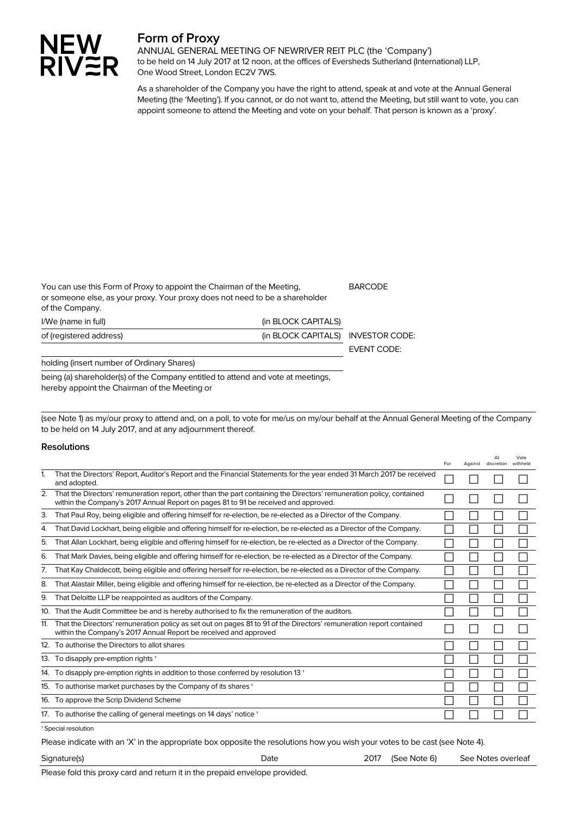## **NEW<br>RIV≋R**

## **Form of Proxy**

ANNUAL GENERAL MEETING OF NEWRIVER REIT PLC (the 'Company') to be held on 14 July 2017 at 12 noon, at the offices of Eversheds Sutherland (International) LLP, One Wood Street, London EC2V 7WS.

As a shareholder of the Company you have the right to attend, speak at and vote at the Annual General Meeting (the 'Meeting'). If you cannot, or do not want to, attend the Meeting, but still want to vote, you can appoint someone to attend the Meeting and vote on your behalf. That person is known as a 'proxy'.

| You can use this Form of Proxy to appoint the Chairman of the Meeting.                          | <b>BARCODE</b>                     |             |
|-------------------------------------------------------------------------------------------------|------------------------------------|-------------|
| or someone else, as your proxy. Your proxy does not need to be a shareholder<br>of the Company. |                                    |             |
| I/We (name in full)                                                                             | (in BLOCK CAPITALS)                |             |
| of (registered address)                                                                         | (in BLOCK CAPITALS) INVESTOR CODE: |             |
|                                                                                                 |                                    | EVENT CODE: |
| holding (insert number of Ordinary Shares)                                                      |                                    |             |

being (a) shareholder(s) of the Company entitled to attend and vote at meetings,

hereby appoint the Chairman of the Meeting or

(see Note 1) as my/our proxy to attend and, on a poll, to vote for me/us on my/our behalf at the Annual General Meeting of the Company to be held on 14 July 2017, and at any adjournment thereof.

At

Vote

## **Resolutions**

|     |                                                                                                                                                                                                              | For | Against discretion withheld |  |
|-----|--------------------------------------------------------------------------------------------------------------------------------------------------------------------------------------------------------------|-----|-----------------------------|--|
|     | That the Directors' Report, Auditor's Report and the Financial Statements for the year ended 31 March 2017 be received<br>and adopted.                                                                       |     |                             |  |
| 2.  | That the Directors' remuneration report, other than the part containing the Directors' remuneration policy, contained<br>within the Company's 2017 Annual Report on pages 81 to 91 be received and approved. |     |                             |  |
| 3.  | That Paul Roy, being eligible and offering himself for re-election, be re-elected as a Director of the Company.                                                                                              |     |                             |  |
| 4.  | That David Lockhart, being eligible and offering himself for re-election, be re-elected as a Director of the Company.                                                                                        |     |                             |  |
| 5.  | That Allan Lockhart, being eligible and offering himself for re-election, be re-elected as a Director of the Company.                                                                                        |     |                             |  |
| 6.  | That Mark Davies, being eligible and offering himself for re-election, be re-elected as a Director of the Company.                                                                                           |     |                             |  |
| 7.  | That Kay Chaldecott, being eligible and offering herself for re-election, be re-elected as a Director of the Company.                                                                                        |     |                             |  |
| 8.  | That Alastair Miller, being eligible and offering himself for re-election, be re-elected as a Director of the Company.                                                                                       |     |                             |  |
| 9.  | That Deloitte LLP be reappointed as auditors of the Company.                                                                                                                                                 |     |                             |  |
|     | 10. That the Audit Committee be and is hereby authorised to fix the remuneration of the auditors.                                                                                                            |     |                             |  |
| 11. | That the Directors' remuneration policy as set out on pages 81 to 91 of the Directors' remuneration report contained<br>within the Company's 2017 Annual Report be received and approved                     |     |                             |  |
|     | 12. To authorise the Directors to allot shares                                                                                                                                                               |     |                             |  |
|     | 13. To disapply pre-emption rights $+$                                                                                                                                                                       |     |                             |  |
|     | 14. To disapply pre-emption rights in addition to those conferred by resolution 13 $+$                                                                                                                       |     |                             |  |
|     | 15. To authorise market purchases by the Company of its shares <sup>+</sup>                                                                                                                                  |     |                             |  |
|     | 16. To approve the Scrip Dividend Scheme                                                                                                                                                                     |     |                             |  |
|     | 17. To authorise the calling of general meetings on 14 days' notice <sup>+</sup>                                                                                                                             |     |                             |  |

† Special resolution

Please indicate with an 'X' in the appropriate box opposite the resolutions how you wish your votes to be cast (see Note 4).

Signature(s) Signature(s) Date 2017 (See Note 6) See Notes overleaf

Please fold this proxy card and return it in the prepaid envelope provided.